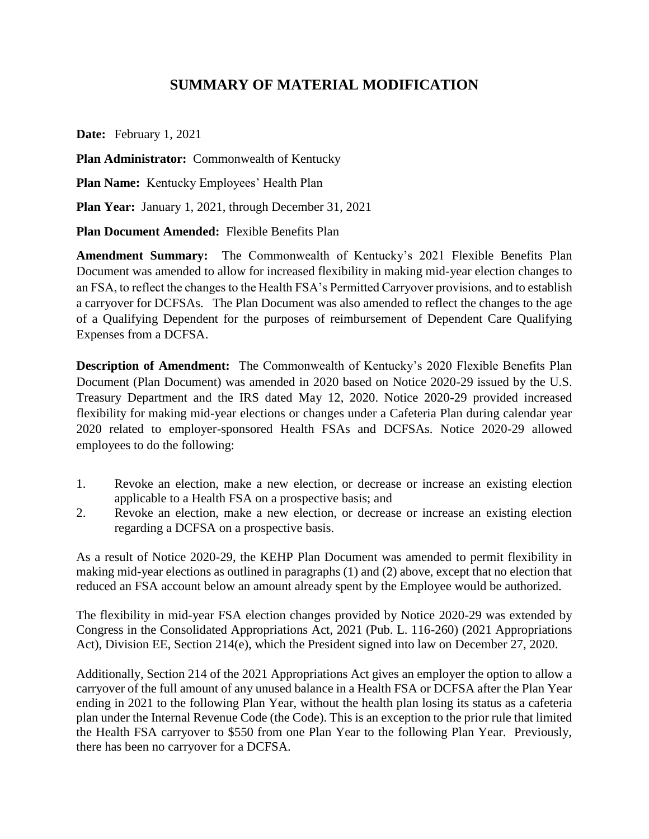## **SUMMARY OF MATERIAL MODIFICATION**

**Date:** February 1, 2021

**Plan Administrator:** Commonwealth of Kentucky

**Plan Name:** Kentucky Employees' Health Plan

**Plan Year:** January 1, 2021, through December 31, 2021

**Plan Document Amended:** Flexible Benefits Plan

**Amendment Summary:** The Commonwealth of Kentucky's 2021 Flexible Benefits Plan Document was amended to allow for increased flexibility in making mid-year election changes to an FSA, to reflect the changes to the Health FSA's Permitted Carryover provisions, and to establish a carryover for DCFSAs. The Plan Document was also amended to reflect the changes to the age of a Qualifying Dependent for the purposes of reimbursement of Dependent Care Qualifying Expenses from a DCFSA.

**Description of Amendment:** The Commonwealth of Kentucky's 2020 Flexible Benefits Plan Document (Plan Document) was amended in 2020 based on Notice 2020-29 issued by the U.S. Treasury Department and the IRS dated May 12, 2020. Notice 2020-29 provided increased flexibility for making mid-year elections or changes under a Cafeteria Plan during calendar year 2020 related to employer-sponsored Health FSAs and DCFSAs. Notice 2020-29 allowed employees to do the following:

- 1. Revoke an election, make a new election, or decrease or increase an existing election applicable to a Health FSA on a prospective basis; and
- 2. Revoke an election, make a new election, or decrease or increase an existing election regarding a DCFSA on a prospective basis.

As a result of Notice 2020-29, the KEHP Plan Document was amended to permit flexibility in making mid-year elections as outlined in paragraphs (1) and (2) above, except that no election that reduced an FSA account below an amount already spent by the Employee would be authorized.

The flexibility in mid-year FSA election changes provided by Notice 2020-29 was extended by Congress in the Consolidated Appropriations Act, 2021 (Pub. L. 116-260) (2021 Appropriations Act), Division EE, Section 214(e), which the President signed into law on December 27, 2020.

Additionally, Section 214 of the 2021 Appropriations Act gives an employer the option to allow a carryover of the full amount of any unused balance in a Health FSA or DCFSA after the Plan Year ending in 2021 to the following Plan Year, without the health plan losing its status as a cafeteria plan under the Internal Revenue Code (the Code). This is an exception to the prior rule that limited the Health FSA carryover to \$550 from one Plan Year to the following Plan Year. Previously, there has been no carryover for a DCFSA.